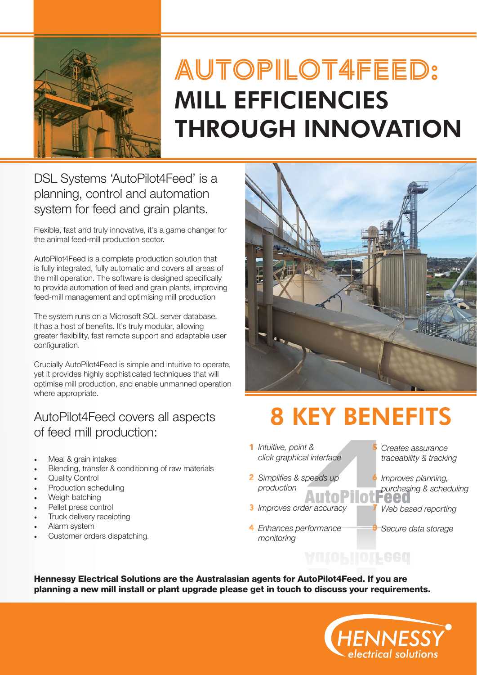

## **AutoPilot4feed:** MILL EFFICIENCIES THROUGH INNOVATION

DSL Systems 'AutoPilot4Feed' is a planning, control and automation system for feed and grain plants.

Flexible, fast and truly innovative, it's a game changer for the animal feed-mill production sector.

AutoPilot4Feed is a complete production solution that is fully integrated, fully automatic and covers all areas of the mill operation. The software is designed specifically to provide automation of feed and grain plants, improving feed-mill management and optimising mill production

The system runs on a Microsoft SQL server database. It has a host of benefits. It's truly modular, allowing greater flexibility, fast remote support and adaptable user configuration.

Crucially AutoPilot4Feed is simple and intuitive to operate, yet it provides highly sophisticated techniques that will optimise mill production, and enable unmanned operation where appropriate.

#### AutoPilot4Feed covers all aspects of feed mill production:

- Meal & grain intakes
- Blending, transfer & conditioning of raw materials
- **Quality Control**
- Production scheduling
- Weigh batching
- Pellet press control
- Truck delivery receipting
- Alarm system
- Customer orders dispatching.



# 8 KEY BENEFITS

**5**

**7**

**8**

AutoPilotFeed

- *Intuitive, point &*  **1** *click graphical interface*
- 2 Simplifies & speeds up *production* ATTI O
- *Improves order accuracy*  **3**
- *Enhances performance*  **4** *monitoring*
- *Creates assurance traceability & tracking*
- **6** *Improves planning, purchasing & scheduling* **TAAD** 
	- *Web based reporting*
	- *Secure data storage*

**Hennessy Electrical Solutions are the Australasian agents for AutoPilot4Feed. If you are planning a new mill install or plant upgrade please get in touch to discuss your requirements.**